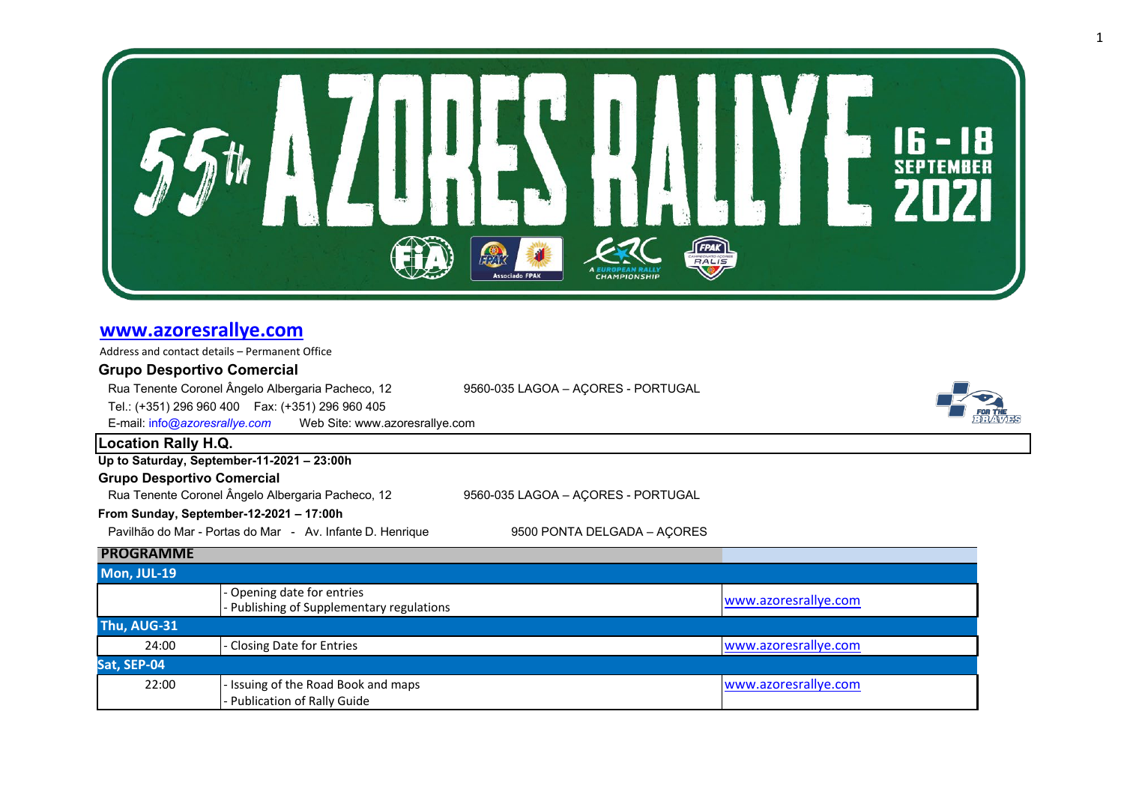

## **[www.azoresrallye.com](http://www.azoresrallye.com/)**

| Address and contact details - Permanent Office                  |                                                                     |                                    |                      |  |  |
|-----------------------------------------------------------------|---------------------------------------------------------------------|------------------------------------|----------------------|--|--|
| <b>Grupo Desportivo Comercial</b>                               |                                                                     |                                    |                      |  |  |
|                                                                 | Rua Tenente Coronel Ângelo Albergaria Pacheco, 12                   | 9560-035 LAGOA - AÇORES - PORTUGAL |                      |  |  |
|                                                                 | Tel.: (+351) 296 960 400  Fax: (+351) 296 960 405                   |                                    |                      |  |  |
| E-mail: info@azoresrallye.com<br>Web Site: www.azoresrallye.com |                                                                     |                                    |                      |  |  |
| <b>Location Rally H.Q.</b>                                      |                                                                     |                                    |                      |  |  |
|                                                                 | Up to Saturday, September-11-2021 - 23:00h                          |                                    |                      |  |  |
| <b>Grupo Desportivo Comercial</b>                               |                                                                     |                                    |                      |  |  |
|                                                                 | Rua Tenente Coronel Ângelo Albergaria Pacheco, 12                   |                                    |                      |  |  |
| From Sunday, September-12-2021 - 17:00h                         |                                                                     |                                    |                      |  |  |
|                                                                 | Pavilhão do Mar - Portas do Mar - Av. Infante D. Henrique           | 9500 PONTA DELGADA - AÇORES        |                      |  |  |
| <b>PROGRAMME</b>                                                |                                                                     |                                    |                      |  |  |
| Mon, JUL-19                                                     |                                                                     |                                    |                      |  |  |
|                                                                 | Opening date for entries<br>Publishing of Supplementary regulations |                                    | www.azoresrallye.com |  |  |
| Thu, AUG-31                                                     |                                                                     |                                    |                      |  |  |
| 24:00                                                           | Closing Date for Entries                                            |                                    | www.azoresrallye.com |  |  |
| Sat, SEP-04                                                     |                                                                     |                                    |                      |  |  |
| 22:00                                                           | Issuing of the Road Book and maps                                   |                                    | www.azoresrallye.com |  |  |
|                                                                 | Publication of Rally Guide                                          |                                    |                      |  |  |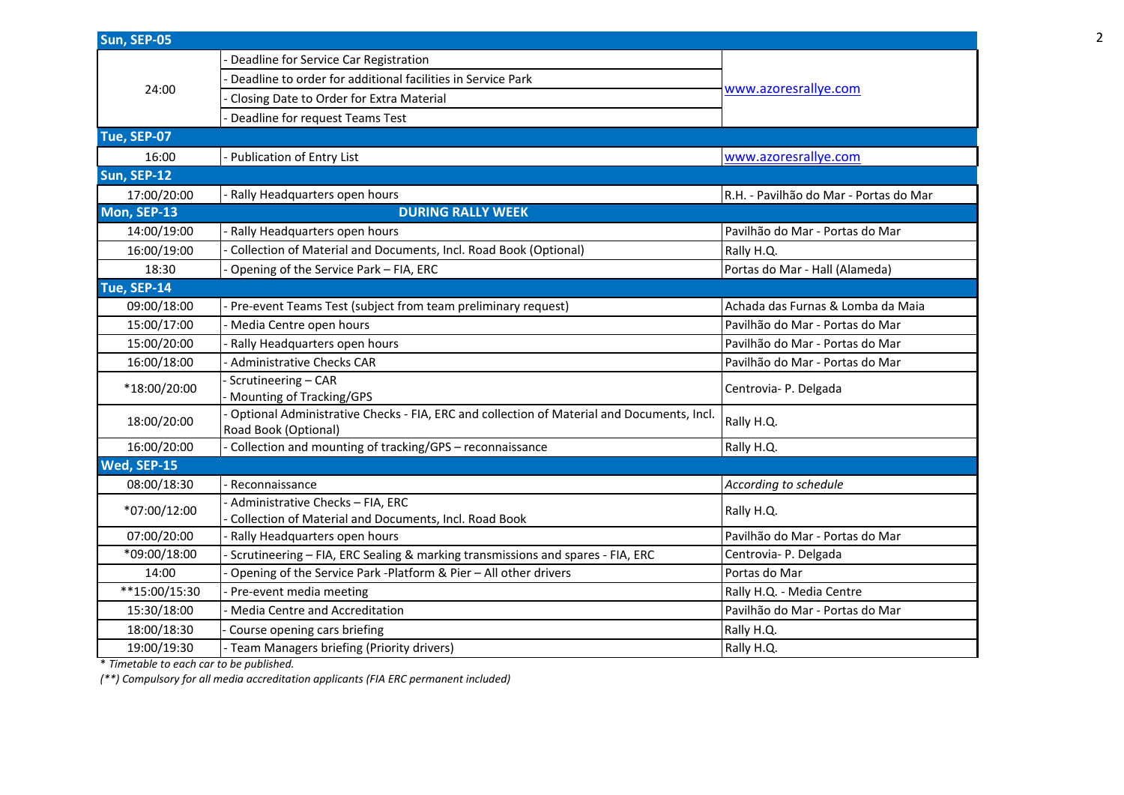| Sun, SEP-05   |                                                                                                                   |                                        |
|---------------|-------------------------------------------------------------------------------------------------------------------|----------------------------------------|
|               | Deadline for Service Car Registration                                                                             |                                        |
| 24:00         | Deadline to order for additional facilities in Service Park                                                       | www.azoresrallye.com                   |
|               | Closing Date to Order for Extra Material                                                                          |                                        |
|               | Deadline for request Teams Test                                                                                   |                                        |
| Tue, SEP-07   |                                                                                                                   |                                        |
| 16:00         | <b>Publication of Entry List</b>                                                                                  | www.azoresrallye.com                   |
| Sun, SEP-12   |                                                                                                                   |                                        |
| 17:00/20:00   | Rally Headquarters open hours                                                                                     | R.H. - Pavilhão do Mar - Portas do Mar |
| Mon, SEP-13   | <b>DURING RALLY WEEK</b>                                                                                          |                                        |
| 14:00/19:00   | Rally Headquarters open hours                                                                                     | Pavilhão do Mar - Portas do Mar        |
| 16:00/19:00   | Collection of Material and Documents, Incl. Road Book (Optional)                                                  | Rally H.Q.                             |
| 18:30         | Opening of the Service Park - FIA, ERC                                                                            | Portas do Mar - Hall (Alameda)         |
| Tue, SEP-14   |                                                                                                                   |                                        |
| 09:00/18:00   | Pre-event Teams Test (subject from team preliminary request)                                                      | Achada das Furnas & Lomba da Maia      |
| 15:00/17:00   | - Media Centre open hours                                                                                         | Pavilhão do Mar - Portas do Mar        |
| 15:00/20:00   | Rally Headquarters open hours                                                                                     | Pavilhão do Mar - Portas do Mar        |
| 16:00/18:00   | <b>Administrative Checks CAR</b>                                                                                  | Pavilhão do Mar - Portas do Mar        |
| *18:00/20:00  | Scrutineering - CAR<br>Mounting of Tracking/GPS                                                                   | Centrovia- P. Delgada                  |
| 18:00/20:00   | Optional Administrative Checks - FIA, ERC and collection of Material and Documents, Incl.<br>Road Book (Optional) | Rally H.Q.                             |
| 16:00/20:00   | Collection and mounting of tracking/GPS - reconnaissance                                                          | Rally H.Q.                             |
| Wed, SEP-15   |                                                                                                                   |                                        |
| 08:00/18:30   | Reconnaissance                                                                                                    | According to schedule                  |
| *07:00/12:00  | Administrative Checks - FIA, ERC<br>Collection of Material and Documents, Incl. Road Book                         | Rally H.Q.                             |
| 07:00/20:00   | Rally Headquarters open hours                                                                                     | Pavilhão do Mar - Portas do Mar        |
| *09:00/18:00  | Scrutineering - FIA, ERC Sealing & marking transmissions and spares - FIA, ERC                                    | Centrovia- P. Delgada                  |
| 14:00         | Opening of the Service Park -Platform & Pier - All other drivers                                                  | Portas do Mar                          |
| **15:00/15:30 | Pre-event media meeting                                                                                           | Rally H.Q. - Media Centre              |
| 15:30/18:00   | Media Centre and Accreditation                                                                                    | Pavilhão do Mar - Portas do Mar        |
| 18:00/18:30   | Course opening cars briefing                                                                                      | Rally H.Q.                             |
| 19:00/19:30   | Team Managers briefing (Priority drivers)                                                                         | Rally H.Q.                             |
|               |                                                                                                                   |                                        |

\* *Timetable to each car to be published.*

*(\*\*) Compulsory for all media accreditation applicants (FIA ERC permanent included)*